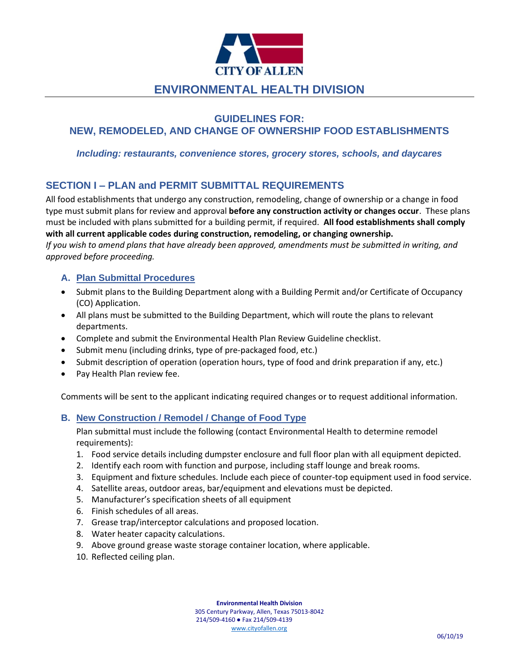

# **ENVIRONMENTAL HEALTH DIVISION**

# **GUIDELINES FOR: NEW, REMODELED, AND CHANGE OF OWNERSHIP FOOD ESTABLISHMENTS**

*Including: restaurants, convenience stores, grocery stores, schools, and daycares*

# **SECTION I – PLAN and PERMIT SUBMITTAL REQUIREMENTS**

All food establishments that undergo any construction, remodeling, change of ownership or a change in food type must submit plans for review and approval **before any construction activity or changes occur**. These plans must be included with plans submitted for a building permit, if required. **All food establishments shall comply with all current applicable codes during construction, remodeling, or changing ownership.**

*If you wish to amend plans that have already been approved, amendments must be submitted in writing, and approved before proceeding.* 

### **A. Plan Submittal Procedures**

- Submit plans to the Building Department along with a Building Permit and/or Certificate of Occupancy (CO) Application.
- All plans must be submitted to the Building Department, which will route the plans to relevant departments.
- Complete and submit the Environmental Health Plan Review Guideline checklist.
- Submit menu (including drinks, type of pre-packaged food, etc.)
- Submit description of operation (operation hours, type of food and drink preparation if any, etc.)
- Pay Health Plan review fee.

Comments will be sent to the applicant indicating required changes or to request additional information.

## **B. New Construction / Remodel / Change of Food Type**

Plan submittal must include the following (contact Environmental Health to determine remodel requirements):

- 1. Food service details including dumpster enclosure and full floor plan with all equipment depicted.
- 2. Identify each room with function and purpose, including staff lounge and break rooms.
- 3. Equipment and fixture schedules. Include each piece of counter-top equipment used in food service.
- 4. Satellite areas, outdoor areas, bar/equipment and elevations must be depicted.
- 5. Manufacturer's specification sheets of all equipment
- 6. Finish schedules of all areas.
- 7. Grease trap/interceptor calculations and proposed location.
- 8. Water heater capacity calculations.
- 9. Above ground grease waste storage container location, where applicable.
- 10. Reflected ceiling plan.

**Environmental Health Division**

305 Century Parkway, Allen, Texas 75013-8042 214/509-4160 ● Fax 214/509-4139

[www.cityofallen.org](http://www.cityofallen.org/)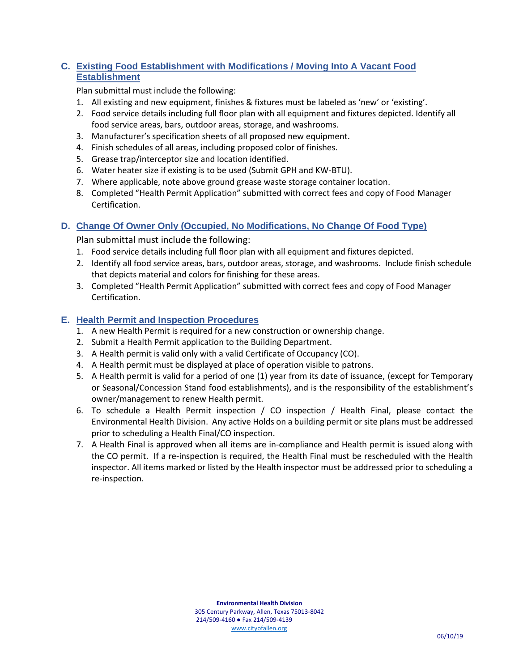# **C. Existing Food Establishment with Modifications / Moving Into A Vacant Food Establishment**

Plan submittal must include the following:

- 1. All existing and new equipment, finishes & fixtures must be labeled as 'new' or 'existing'.
- 2. Food service details including full floor plan with all equipment and fixtures depicted. Identify all food service areas, bars, outdoor areas, storage, and washrooms.
- 3. Manufacturer's specification sheets of all proposed new equipment.
- 4. Finish schedules of all areas, including proposed color of finishes.
- 5. Grease trap/interceptor size and location identified.
- 6. Water heater size if existing is to be used (Submit GPH and KW-BTU).
- 7. Where applicable, note above ground grease waste storage container location.
- 8. Completed "Health Permit Application" submitted with correct fees and copy of Food Manager Certification.

## **D. Change Of Owner Only (Occupied, No Modifications, No Change Of Food Type)**

Plan submittal must include the following:

- 1. Food service details including full floor plan with all equipment and fixtures depicted.
- 2. Identify all food service areas, bars, outdoor areas, storage, and washrooms. Include finish schedule that depicts material and colors for finishing for these areas.
- 3. Completed "Health Permit Application" submitted with correct fees and copy of Food Manager Certification.

## **E. Health Permit and Inspection Procedures**

- 1. A new Health Permit is required for a new construction or ownership change.
- 2. Submit a Health Permit application to the Building Department.
- 3. A Health permit is valid only with a valid Certificate of Occupancy (CO).
- 4. A Health permit must be displayed at place of operation visible to patrons.
- 5. A Health permit is valid for a period of one (1) year from its date of issuance, (except for Temporary or Seasonal/Concession Stand food establishments), and is the responsibility of the establishment's owner/management to renew Health permit.
- 6. To schedule a Health Permit inspection / CO inspection / Health Final, please contact the Environmental Health Division. Any active Holds on a building permit or site plans must be addressed prior to scheduling a Health Final/CO inspection.
- 7. A Health Final is approved when all items are in-compliance and Health permit is issued along with the CO permit. If a re-inspection is required, the Health Final must be rescheduled with the Health inspector. All items marked or listed by the Health inspector must be addressed prior to scheduling a re-inspection.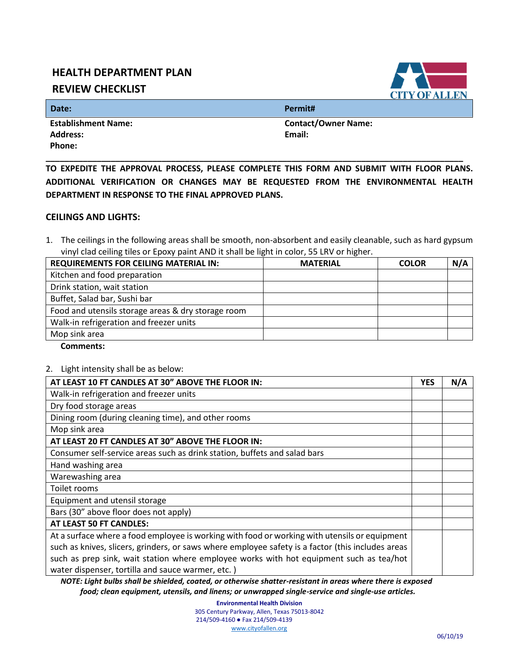# **HEALTH DEPARTMENT PLAN**

# **REVIEW CHECKLIST**

**OF ALLEN** 

**Date:****Permit#**

 **Establishment Name: Contact/Owner Name: Address: Email: Phone:** 

**TO EXPEDITE THE APPROVAL PROCESS, PLEASE COMPLETE THIS FORM AND SUBMIT WITH FLOOR PLANS. ADDITIONAL VERIFICATION OR CHANGES MAY BE REQUESTED FROM THE ENVIRONMENTAL HEALTH DEPARTMENT IN RESPONSE TO THE FINAL APPROVED PLANS.** 

**\_\_\_\_\_\_\_\_\_\_\_\_\_\_\_\_\_\_\_\_\_\_\_\_\_\_\_\_\_\_\_\_\_\_\_\_\_\_\_\_\_\_\_\_\_\_\_\_\_\_\_\_\_\_\_\_\_\_\_\_\_\_\_\_\_\_\_\_\_\_\_\_\_\_\_\_\_\_\_\_\_\_\_\_\_\_\_\_\_\_**

#### **CEILINGS AND LIGHTS:**

1. The ceilings in the following areas shall be smooth, non-absorbent and easily cleanable, such as hard gypsum vinyl clad ceiling tiles or Epoxy paint AND it shall be light in color, 55 LRV or higher.

| <b>REQUIREMENTS FOR CEILING MATERIAL IN:</b>       | <b>MATERIAL</b> | <b>COLOR</b> | N/A |
|----------------------------------------------------|-----------------|--------------|-----|
| Kitchen and food preparation                       |                 |              |     |
| Drink station, wait station                        |                 |              |     |
| Buffet, Salad bar, Sushi bar                       |                 |              |     |
| Food and utensils storage areas & dry storage room |                 |              |     |
| Walk-in refrigeration and freezer units            |                 |              |     |
| Mop sink area                                      |                 |              |     |

 **Comments:** 

2. Light intensity shall be as below:

| AT LEAST 10 FT CANDLES AT 30" ABOVE THE FLOOR IN:                                                 | <b>YES</b> | N/A |
|---------------------------------------------------------------------------------------------------|------------|-----|
| Walk-in refrigeration and freezer units                                                           |            |     |
| Dry food storage areas                                                                            |            |     |
| Dining room (during cleaning time), and other rooms                                               |            |     |
| Mop sink area                                                                                     |            |     |
| AT LEAST 20 FT CANDLES AT 30" ABOVE THE FLOOR IN:                                                 |            |     |
| Consumer self-service areas such as drink station, buffets and salad bars                         |            |     |
| Hand washing area                                                                                 |            |     |
| Warewashing area                                                                                  |            |     |
| Toilet rooms                                                                                      |            |     |
| Equipment and utensil storage                                                                     |            |     |
| Bars (30" above floor does not apply)                                                             |            |     |
| AT LEAST 50 FT CANDLES:                                                                           |            |     |
| At a surface where a food employee is working with food or working with utensils or equipment     |            |     |
| such as knives, slicers, grinders, or saws where employee safety is a factor (this includes areas |            |     |
| such as prep sink, wait station where employee works with hot equipment such as tea/hot           |            |     |
| water dispenser, tortilla and sauce warmer, etc.)                                                 |            |     |

 *NOTE: Light bulbs shall be shielded, coated, or otherwise shatter-resistant in areas where there is exposed food; clean equipment, utensils, and linens; or unwrapped single-service and single-use articles.*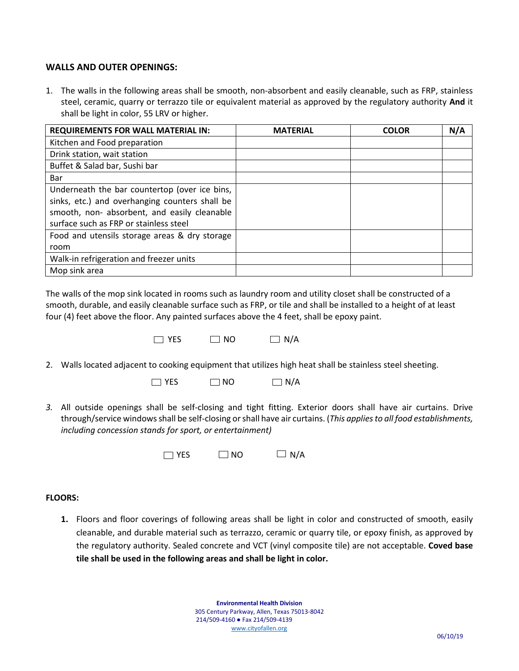### **WALLS AND OUTER OPENINGS:**

1. The walls in the following areas shall be smooth, non-absorbent and easily cleanable, such as FRP, stainless steel, ceramic, quarry or terrazzo tile or equivalent material as approved by the regulatory authority **And** it shall be light in color, 55 LRV or higher.

| <b>REQUIREMENTS FOR WALL MATERIAL IN:</b>      | <b>MATERIAL</b> | <b>COLOR</b> | N/A |
|------------------------------------------------|-----------------|--------------|-----|
| Kitchen and Food preparation                   |                 |              |     |
| Drink station, wait station                    |                 |              |     |
| Buffet & Salad bar, Sushi bar                  |                 |              |     |
| Bar                                            |                 |              |     |
| Underneath the bar countertop (over ice bins,  |                 |              |     |
| sinks, etc.) and overhanging counters shall be |                 |              |     |
| smooth, non- absorbent, and easily cleanable   |                 |              |     |
| surface such as FRP or stainless steel         |                 |              |     |
| Food and utensils storage areas & dry storage  |                 |              |     |
| room                                           |                 |              |     |
| Walk-in refrigeration and freezer units        |                 |              |     |
| Mop sink area                                  |                 |              |     |

The walls of the mop sink located in rooms such as laundry room and utility closet shall be constructed of a smooth, durable, and easily cleanable surface such as FRP, or tile and shall be installed to a height of at least four (4) feet above the floor. Any painted surfaces above the 4 feet, shall be epoxy paint.



2. Walls located adjacent to cooking equipment that utilizes high heat shall be stainless steel sheeting.

| $\Box$ NO<br>$\Box$ YES | $\Box$ N/A |
|-------------------------|------------|
|-------------------------|------------|

*3.* All outside openings shall be self-closing and tight fitting. Exterior doors shall have air curtains. Drive through/service windows shall be self-closing or shall have air curtains. (*This applies to all food establishments, including concession stands for sport, or entertainment)*



#### **FLOORS:**

**1.** Floors and floor coverings of following areas shall be light in color and constructed of smooth, easily cleanable, and durable material such as terrazzo, ceramic or quarry tile, or epoxy finish, as approved by the regulatory authority. Sealed concrete and VCT (vinyl composite tile) are not acceptable. **Coved base tile shall be used in the following areas and shall be light in color.**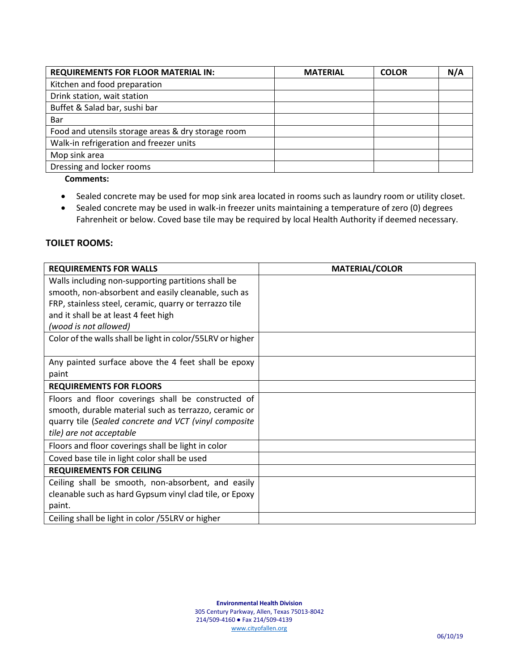| <b>REQUIREMENTS FOR FLOOR MATERIAL IN:</b>         | <b>MATERIAL</b> | <b>COLOR</b> | N/A |
|----------------------------------------------------|-----------------|--------------|-----|
| Kitchen and food preparation                       |                 |              |     |
| Drink station, wait station                        |                 |              |     |
| Buffet & Salad bar, sushi bar                      |                 |              |     |
| Bar                                                |                 |              |     |
| Food and utensils storage areas & dry storage room |                 |              |     |
| Walk-in refrigeration and freezer units            |                 |              |     |
| Mop sink area                                      |                 |              |     |
| Dressing and locker rooms                          |                 |              |     |

 **Comments:** 

- Sealed concrete may be used for mop sink area located in rooms such as laundry room or utility closet.
- Sealed concrete may be used in walk-in freezer units maintaining a temperature of zero (0) degrees Fahrenheit or below. Coved base tile may be required by local Health Authority if deemed necessary.

#### **TOILET ROOMS:**

| <b>REQUIREMENTS FOR WALLS</b>                              | <b>MATERIAL/COLOR</b> |
|------------------------------------------------------------|-----------------------|
| Walls including non-supporting partitions shall be         |                       |
| smooth, non-absorbent and easily cleanable, such as        |                       |
| FRP, stainless steel, ceramic, quarry or terrazzo tile     |                       |
| and it shall be at least 4 feet high                       |                       |
| (wood is not allowed)                                      |                       |
| Color of the walls shall be light in color/55LRV or higher |                       |
|                                                            |                       |
| Any painted surface above the 4 feet shall be epoxy        |                       |
| paint                                                      |                       |
| <b>REQUIREMENTS FOR FLOORS</b>                             |                       |
| Floors and floor coverings shall be constructed of         |                       |
| smooth, durable material such as terrazzo, ceramic or      |                       |
| quarry tile (Sealed concrete and VCT (vinyl composite      |                       |
| tile) are not acceptable                                   |                       |
| Floors and floor coverings shall be light in color         |                       |
| Coved base tile in light color shall be used               |                       |
| <b>REQUIREMENTS FOR CEILING</b>                            |                       |
| Ceiling shall be smooth, non-absorbent, and easily         |                       |
| cleanable such as hard Gypsum vinyl clad tile, or Epoxy    |                       |
| paint.                                                     |                       |
| Ceiling shall be light in color /55LRV or higher           |                       |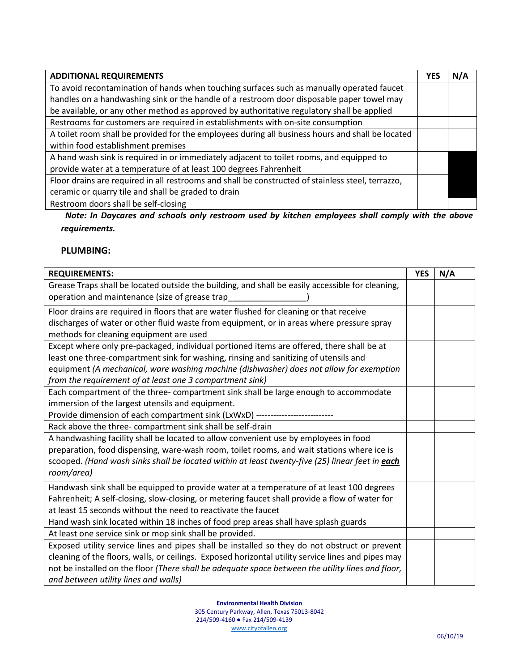| <b>ADDITIONAL REQUIREMENTS</b>                                                                    | YES | N/A |
|---------------------------------------------------------------------------------------------------|-----|-----|
| To avoid recontamination of hands when touching surfaces such as manually operated faucet         |     |     |
| handles on a handwashing sink or the handle of a restroom door disposable paper towel may         |     |     |
| be available, or any other method as approved by authoritative regulatory shall be applied        |     |     |
| Restrooms for customers are required in establishments with on-site consumption                   |     |     |
| A toilet room shall be provided for the employees during all business hours and shall be located  |     |     |
| within food establishment premises                                                                |     |     |
| A hand wash sink is required in or immediately adjacent to toilet rooms, and equipped to          |     |     |
| provide water at a temperature of at least 100 degrees Fahrenheit                                 |     |     |
| Floor drains are required in all restrooms and shall be constructed of stainless steel, terrazzo, |     |     |
| ceramic or quarry tile and shall be graded to drain                                               |     |     |
| Restroom doors shall be self-closing                                                              |     |     |

 *Note: In Daycares and schools only restroom used by kitchen employees shall comply with the above requirements.*

# **PLUMBING:**

| <b>REQUIREMENTS:</b>                                                                                                                               | <b>YES</b> | N/A |
|----------------------------------------------------------------------------------------------------------------------------------------------------|------------|-----|
| Grease Traps shall be located outside the building, and shall be easily accessible for cleaning,<br>operation and maintenance (size of grease trap |            |     |
| Floor drains are required in floors that are water flushed for cleaning or that receive                                                            |            |     |
| discharges of water or other fluid waste from equipment, or in areas where pressure spray                                                          |            |     |
| methods for cleaning equipment are used                                                                                                            |            |     |
| Except where only pre-packaged, individual portioned items are offered, there shall be at                                                          |            |     |
| least one three-compartment sink for washing, rinsing and sanitizing of utensils and                                                               |            |     |
| equipment (A mechanical, ware washing machine (dishwasher) does not allow for exemption                                                            |            |     |
| from the requirement of at least one 3 compartment sink)                                                                                           |            |     |
| Each compartment of the three-compartment sink shall be large enough to accommodate                                                                |            |     |
| immersion of the largest utensils and equipment.                                                                                                   |            |     |
| Provide dimension of each compartment sink (LxWxD) ------------------                                                                              |            |     |
| Rack above the three- compartment sink shall be self-drain                                                                                         |            |     |
| A handwashing facility shall be located to allow convenient use by employees in food                                                               |            |     |
| preparation, food dispensing, ware-wash room, toilet rooms, and wait stations where ice is                                                         |            |     |
| scooped. (Hand wash sinks shall be located within at least twenty-five (25) linear feet in each                                                    |            |     |
| room/area)                                                                                                                                         |            |     |
| Handwash sink shall be equipped to provide water at a temperature of at least 100 degrees                                                          |            |     |
| Fahrenheit; A self-closing, slow-closing, or metering faucet shall provide a flow of water for                                                     |            |     |
| at least 15 seconds without the need to reactivate the faucet                                                                                      |            |     |
| Hand wash sink located within 18 inches of food prep areas shall have splash guards                                                                |            |     |
| At least one service sink or mop sink shall be provided.                                                                                           |            |     |
| Exposed utility service lines and pipes shall be installed so they do not obstruct or prevent                                                      |            |     |
| cleaning of the floors, walls, or ceilings. Exposed horizontal utility service lines and pipes may                                                 |            |     |
| not be installed on the floor (There shall be adequate space between the utility lines and floor,                                                  |            |     |
| and between utility lines and walls)                                                                                                               |            |     |

**Environmental Health Division**

305 Century Parkway, Allen, Texas 75013-8042 214/509-4160 ● Fax 214/509-4139 [www.cityofallen.org](http://www.cityofallen.org/)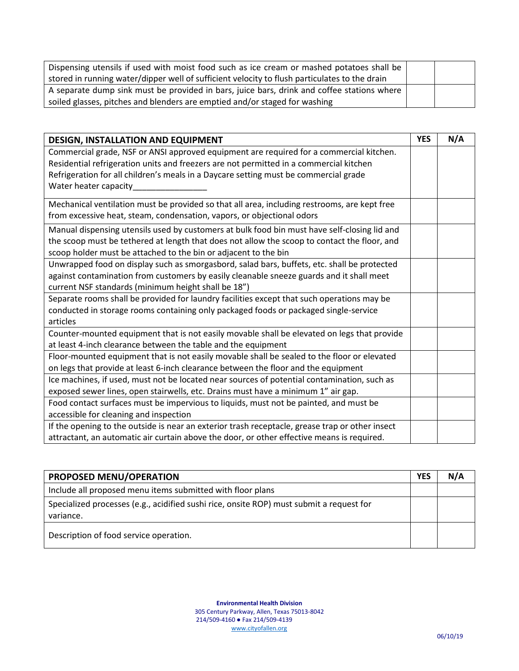| Dispensing utensils if used with moist food such as ice cream or mashed potatoes shall be     |  |
|-----------------------------------------------------------------------------------------------|--|
| stored in running water/dipper well of sufficient velocity to flush particulates to the drain |  |
| A separate dump sink must be provided in bars, juice bars, drink and coffee stations where    |  |
| soiled glasses, pitches and blenders are emptied and/or staged for washing                    |  |

| DESIGN, INSTALLATION AND EQUIPMENT                                                              | <b>YES</b> | N/A |
|-------------------------------------------------------------------------------------------------|------------|-----|
| Commercial grade, NSF or ANSI approved equipment are required for a commercial kitchen.         |            |     |
| Residential refrigeration units and freezers are not permitted in a commercial kitchen          |            |     |
| Refrigeration for all children's meals in a Daycare setting must be commercial grade            |            |     |
| Water heater capacity_                                                                          |            |     |
| Mechanical ventilation must be provided so that all area, including restrooms, are kept free    |            |     |
| from excessive heat, steam, condensation, vapors, or objectional odors                          |            |     |
|                                                                                                 |            |     |
| Manual dispensing utensils used by customers at bulk food bin must have self-closing lid and    |            |     |
| the scoop must be tethered at length that does not allow the scoop to contact the floor, and    |            |     |
| scoop holder must be attached to the bin or adjacent to the bin                                 |            |     |
| Unwrapped food on display such as smorgasbord, salad bars, buffets, etc. shall be protected     |            |     |
| against contamination from customers by easily cleanable sneeze guards and it shall meet        |            |     |
| current NSF standards (minimum height shall be 18")                                             |            |     |
| Separate rooms shall be provided for laundry facilities except that such operations may be      |            |     |
| conducted in storage rooms containing only packaged foods or packaged single-service            |            |     |
| articles                                                                                        |            |     |
| Counter-mounted equipment that is not easily movable shall be elevated on legs that provide     |            |     |
| at least 4-inch clearance between the table and the equipment                                   |            |     |
| Floor-mounted equipment that is not easily movable shall be sealed to the floor or elevated     |            |     |
| on legs that provide at least 6-inch clearance between the floor and the equipment              |            |     |
| Ice machines, if used, must not be located near sources of potential contamination, such as     |            |     |
| exposed sewer lines, open stairwells, etc. Drains must have a minimum 1" air gap.               |            |     |
| Food contact surfaces must be impervious to liquids, must not be painted, and must be           |            |     |
| accessible for cleaning and inspection                                                          |            |     |
| If the opening to the outside is near an exterior trash receptacle, grease trap or other insect |            |     |
| attractant, an automatic air curtain above the door, or other effective means is required.      |            |     |

| PROPOSED MENU/OPERATION                                                                               | <b>YES</b> | N/A |
|-------------------------------------------------------------------------------------------------------|------------|-----|
| Include all proposed menu items submitted with floor plans                                            |            |     |
| Specialized processes (e.g., acidified sushi rice, onsite ROP) must submit a request for<br>variance. |            |     |
| Description of food service operation.                                                                |            |     |